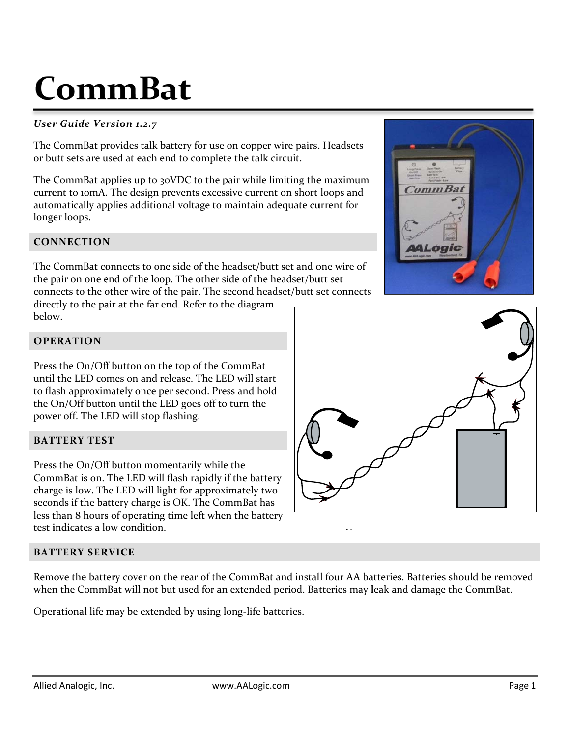# **C Com mB at**

# *User r Guide Ve rsion 1.2.7*

The CommBat provides talk battery for use on copper wire pairs. Headsets or butt sets are used at each end to complete the talk circuit.

The CommBat applies up to 30VDC to the pair while limiting the maximum current to 10mA. The design prevents excessive current on short loops and automatically applies additional voltage to maintain adequate current for long er loops.

# **CON NNECTION N**

The CommBat connects to one side of the headset/butt set and one wire of the pair on one end of the loop. The other side of the headset/butt set connects to the other wire of the pair. The second headset/butt set connects

directly to the pair at the far end. Refer to the diagram below w.

# **OPE ERATION**

Press the On/Off button on the top of the CommBat until l the LED co mes on and release. The LED will sta to flash approximately once per second. Press and hold the On/Off button until the LED goes off to turn the powe er off. The L ED will stop flashing. ım<br>t<br>art

# **BATTERY TEST**

Press the On/Off button momentarily while the CommBat is on. The LED will flash rapidly if the battery charge is low. The LED will light for approximately two seconds if the battery charge is OK. The CommBat has less than 8 hours of operating time left when the battery test indicates a low condition.

# **BAT TTERY SER RVICE**

Remove the battery cover on the rear of the CommBat and install four AA batteries. Batteries should be removed when the CommBat will not but used for an extended period. Batteries may leak and damage the CommBat.

Operational life may be extended by using long-life batteries.